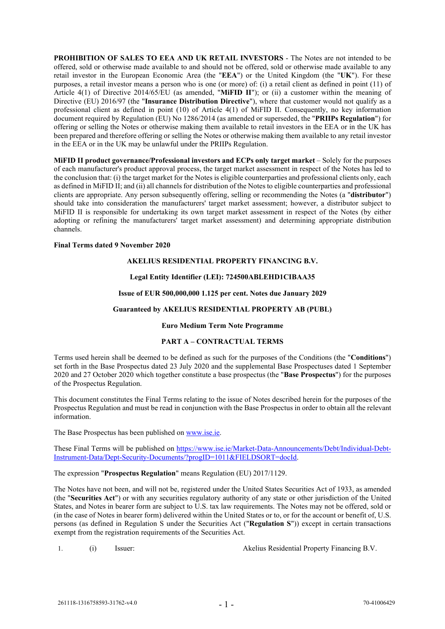**PROHIBITION OF SALES TO EEA AND UK RETAIL INVESTORS** - The Notes are not intended to be offered, sold or otherwise made available to and should not be offered, sold or otherwise made available to any retail investor in the European Economic Area (the "**EEA**") or the United Kingdom (the "**UK**"). For these purposes, a retail investor means a person who is one (or more) of: (i) a retail client as defined in point (11) of Article 4(1) of Directive 2014/65/EU (as amended, "**MiFID II**"); or (ii) a customer within the meaning of Directive (EU) 2016/97 (the "**Insurance Distribution Directive**"), where that customer would not qualify as a professional client as defined in point (10) of Article 4(1) of MiFID II. Consequently, no key information document required by Regulation (EU) No 1286/2014 (as amended or superseded, the "**PRIIPs Regulation**") for offering or selling the Notes or otherwise making them available to retail investors in the EEA or in the UK has been prepared and therefore offering or selling the Notes or otherwise making them available to any retail investor in the EEA or in the UK may be unlawful under the PRIIPs Regulation.

**MiFID II product governance/Professional investors and ECPs only target market** – Solely for the purposes of each manufacturer's product approval process, the target market assessment in respect of the Notes has led to the conclusion that: (i) the target market for the Notes is eligible counterparties and professional clients only, each as defined in MiFID II; and (ii) all channels for distribution of the Notes to eligible counterparties and professional clients are appropriate. Any person subsequently offering, selling or recommending the Notes (a "**distributor**") should take into consideration the manufacturers' target market assessment; however, a distributor subject to MiFID II is responsible for undertaking its own target market assessment in respect of the Notes (by either adopting or refining the manufacturers' target market assessment) and determining appropriate distribution channels.

# **Final Terms dated 9 November 2020**

# **AKELIUS RESIDENTIAL PROPERTY FINANCING B.V.**

# **Legal Entity Identifier (LEI): 724500ABLEHD1CIBAA35**

## **Issue of EUR 500,000,000 1.125 per cent. Notes due January 2029**

## **Guaranteed by AKELIUS RESIDENTIAL PROPERTY AB (PUBL)**

## **Euro Medium Term Note Programme**

#### **PART A – CONTRACTUAL TERMS**

Terms used herein shall be deemed to be defined as such for the purposes of the Conditions (the "**Conditions**") set forth in the Base Prospectus dated 23 July 2020 and the supplemental Base Prospectuses dated 1 September 2020 and 27 October 2020 which together constitute a base prospectus (the "**Base Prospectus**") for the purposes of the Prospectus Regulation.

This document constitutes the Final Terms relating to the issue of Notes described herein for the purposes of the Prospectus Regulation and must be read in conjunction with the Base Prospectus in order to obtain all the relevant information.

The Base Prospectus has been published on [www.ise.ie.](http://www.ise.ie/)

These Final Terms will be published on [https://www.ise.ie/Market-Data-Announcements/Debt/Individual-Debt-](https://www.ise.ie/Market-Data-Announcements/Debt/Individual-Debt-Instrument-Data/Dept-Security-Documents/?progID=1011&FIELDSORT=docId)[Instrument-Data/Dept-Security-Documents/?progID=1011&FIELDSORT=docId.](https://www.ise.ie/Market-Data-Announcements/Debt/Individual-Debt-Instrument-Data/Dept-Security-Documents/?progID=1011&FIELDSORT=docId)

The expression "**Prospectus Regulation**" means Regulation (EU) 2017/1129.

The Notes have not been, and will not be, registered under the United States Securities Act of 1933, as amended (the "**Securities Act**") or with any securities regulatory authority of any state or other jurisdiction of the United States, and Notes in bearer form are subject to U.S. tax law requirements. The Notes may not be offered, sold or (in the case of Notes in bearer form) delivered within the United States or to, or for the account or benefit of, U.S. persons (as defined in Regulation S under the Securities Act ("**Regulation S**")) except in certain transactions exempt from the registration requirements of the Securities Act.

1. (i) Issuer: Akelius Residential Property Financing B.V.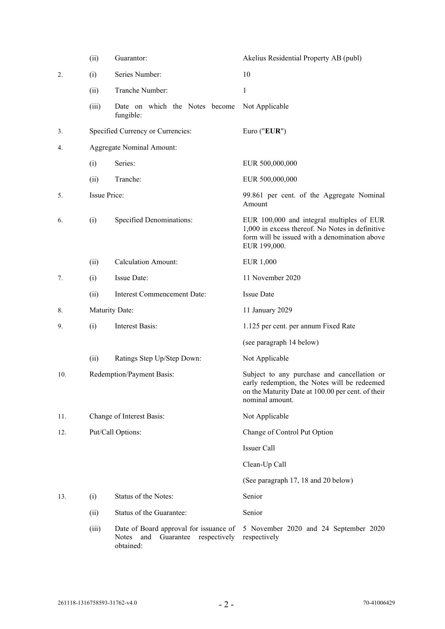|     | (ii)                          | Guarantor:                                                                                           | Akelius Residential Property AB (publ)                                                                                                                              |  |  |
|-----|-------------------------------|------------------------------------------------------------------------------------------------------|---------------------------------------------------------------------------------------------------------------------------------------------------------------------|--|--|
| 2.  | (i)                           | Series Number:                                                                                       | 10                                                                                                                                                                  |  |  |
|     | (ii)                          | Tranche Number:                                                                                      | 1                                                                                                                                                                   |  |  |
|     | (iii)                         | Date on which the Notes become<br>fungible:                                                          | Not Applicable                                                                                                                                                      |  |  |
| 3.  |                               | Specified Currency or Currencies:                                                                    | Euro ("EUR")                                                                                                                                                        |  |  |
| 4.  |                               | <b>Aggregate Nominal Amount:</b>                                                                     |                                                                                                                                                                     |  |  |
|     | (i)                           | Series:                                                                                              | EUR 500,000,000                                                                                                                                                     |  |  |
|     | (ii)                          | Tranche:                                                                                             | EUR 500,000,000                                                                                                                                                     |  |  |
| 5.  | <b>Issue Price:</b>           |                                                                                                      | 99.861 per cent. of the Aggregate Nominal<br>Amount                                                                                                                 |  |  |
| 6.  | (i)                           | Specified Denominations:                                                                             | EUR 100,000 and integral multiples of EUR<br>1,000 in excess thereof. No Notes in definitive<br>form will be issued with a denomination above<br>EUR 199,000.       |  |  |
|     | (ii)                          | <b>Calculation Amount:</b>                                                                           | <b>EUR 1,000</b>                                                                                                                                                    |  |  |
| 7.  | (i)                           | Issue Date:                                                                                          | 11 November 2020                                                                                                                                                    |  |  |
|     | (ii)                          | Interest Commencement Date:                                                                          | <b>Issue Date</b>                                                                                                                                                   |  |  |
| 8.  | Maturity Date:                |                                                                                                      | 11 January 2029                                                                                                                                                     |  |  |
| 9.  | <b>Interest Basis:</b><br>(i) |                                                                                                      | 1.125 per cent. per annum Fixed Rate                                                                                                                                |  |  |
|     |                               |                                                                                                      | (see paragraph 14 below)                                                                                                                                            |  |  |
|     | (ii)                          | Ratings Step Up/Step Down:                                                                           | Not Applicable                                                                                                                                                      |  |  |
| 10. |                               | Redemption/Payment Basis:                                                                            | Subject to any purchase and cancellation or<br>early redemption, the Notes will be redeemed<br>on the Maturity Date at 100.00 per cent. of their<br>nominal amount. |  |  |
| 11. |                               | Change of Interest Basis:                                                                            | Not Applicable                                                                                                                                                      |  |  |
| 12. | Put/Call Options:             |                                                                                                      | Change of Control Put Option                                                                                                                                        |  |  |
|     |                               |                                                                                                      | Issuer Call                                                                                                                                                         |  |  |
|     |                               |                                                                                                      | Clean-Up Call                                                                                                                                                       |  |  |
|     |                               |                                                                                                      | (See paragraph 17, 18 and 20 below)                                                                                                                                 |  |  |
| 13. | (i)                           | Status of the Notes:                                                                                 | Senior                                                                                                                                                              |  |  |
|     | (ii)                          | Status of the Guarantee:                                                                             | Senior                                                                                                                                                              |  |  |
|     | (iii)                         | Date of Board approval for issuance of<br>and<br>Guarantee respectively<br><b>Notes</b><br>obtained: | 5 November 2020 and 24 September 2020<br>respectively                                                                                                               |  |  |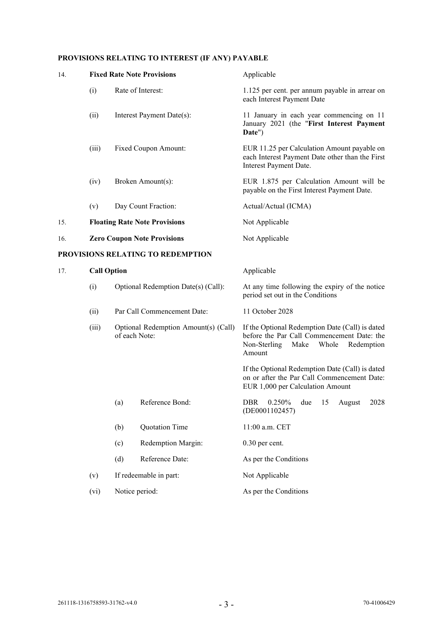# **PROVISIONS RELATING TO INTEREST (IF ANY) PAYABLE**

| 14.                               |                    |                                                                                                                             | <b>Fixed Rate Note Provisions</b>    | Applicable                                                                                                                                             |  |
|-----------------------------------|--------------------|-----------------------------------------------------------------------------------------------------------------------------|--------------------------------------|--------------------------------------------------------------------------------------------------------------------------------------------------------|--|
|                                   | (i)                | Rate of Interest:<br>Interest Payment Date(s):<br>Fixed Coupon Amount:                                                      |                                      | 1.125 per cent. per annum payable in arrear on<br>each Interest Payment Date                                                                           |  |
|                                   | (ii)               |                                                                                                                             |                                      | 11 January in each year commencing on 11<br>January 2021 (the "First Interest Payment<br>Date")                                                        |  |
|                                   | (iii)              |                                                                                                                             |                                      | EUR 11.25 per Calculation Amount payable on<br>each Interest Payment Date other than the First<br>Interest Payment Date.                               |  |
|                                   | (iv)               |                                                                                                                             | Broken Amount(s):                    | EUR 1.875 per Calculation Amount will be<br>payable on the First Interest Payment Date.                                                                |  |
|                                   | (v)                |                                                                                                                             | Day Count Fraction:                  | Actual/Actual (ICMA)                                                                                                                                   |  |
| 15.                               |                    |                                                                                                                             | <b>Floating Rate Note Provisions</b> | Not Applicable                                                                                                                                         |  |
| 16.                               |                    |                                                                                                                             | <b>Zero Coupon Note Provisions</b>   | Not Applicable                                                                                                                                         |  |
| PROVISIONS RELATING TO REDEMPTION |                    |                                                                                                                             |                                      |                                                                                                                                                        |  |
| 17.                               | <b>Call Option</b> |                                                                                                                             |                                      | Applicable                                                                                                                                             |  |
|                                   | (i)                | Optional Redemption Date(s) (Call):<br>Par Call Commencement Date:<br>Optional Redemption Amount(s) (Call)<br>of each Note: |                                      | At any time following the expiry of the notice<br>period set out in the Conditions                                                                     |  |
|                                   | (ii)               |                                                                                                                             |                                      | 11 October 2028                                                                                                                                        |  |
|                                   | (iii)              |                                                                                                                             |                                      | If the Optional Redemption Date (Call) is dated<br>before the Par Call Commencement Date: the<br>Non-Sterling<br>Make<br>Whole<br>Redemption<br>Amount |  |
|                                   |                    |                                                                                                                             |                                      | If the Optional Redemption Date (Call) is dated<br>on or after the Par Call Commencement Date:<br>EUR 1,000 per Calculation Amount                     |  |
|                                   |                    | (a)                                                                                                                         | Reference Bond:                      | 0.250% due<br>15<br><b>DBR</b><br>2028<br>August<br>(DE0001102457)                                                                                     |  |
|                                   |                    | (b)                                                                                                                         | Quotation Time                       | 11:00 a.m. CET                                                                                                                                         |  |
|                                   |                    | (c)                                                                                                                         | Redemption Margin:                   | 0.30 per cent.                                                                                                                                         |  |
|                                   |                    | (d)                                                                                                                         | Reference Date:                      | As per the Conditions                                                                                                                                  |  |
|                                   | (v)                | If redeemable in part:                                                                                                      |                                      | Not Applicable                                                                                                                                         |  |
|                                   | (vi)               | Notice period:                                                                                                              |                                      | As per the Conditions                                                                                                                                  |  |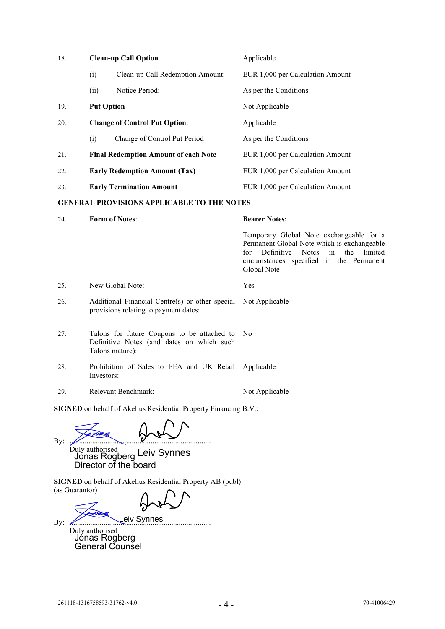| 18. |                       | <b>Clean-up Call Option</b>                       | Applicable                                                                                                                                                                                                                 |  |
|-----|-----------------------|---------------------------------------------------|----------------------------------------------------------------------------------------------------------------------------------------------------------------------------------------------------------------------------|--|
|     | (i)                   | Clean-up Call Redemption Amount:                  | EUR 1,000 per Calculation Amount                                                                                                                                                                                           |  |
|     | (ii)                  | Notice Period:                                    | As per the Conditions                                                                                                                                                                                                      |  |
| 19. | <b>Put Option</b>     |                                                   | Not Applicable                                                                                                                                                                                                             |  |
| 20. |                       | <b>Change of Control Put Option:</b>              | Applicable                                                                                                                                                                                                                 |  |
|     | (i)                   | Change of Control Put Period                      | As per the Conditions                                                                                                                                                                                                      |  |
| 21. |                       | <b>Final Redemption Amount of each Note</b>       | EUR 1,000 per Calculation Amount                                                                                                                                                                                           |  |
| 22. |                       | <b>Early Redemption Amount (Tax)</b>              | EUR 1,000 per Calculation Amount                                                                                                                                                                                           |  |
| 23. |                       | <b>Early Termination Amount</b>                   | EUR 1,000 per Calculation Amount                                                                                                                                                                                           |  |
|     |                       | <b>GENERAL PROVISIONS APPLICABLE TO THE NOTES</b> |                                                                                                                                                                                                                            |  |
| 24. | <b>Form of Notes:</b> |                                                   | <b>Bearer Notes:</b>                                                                                                                                                                                                       |  |
|     |                       |                                                   | Temporary Global Note exchangeable for a<br>Permanent Global Note which is exchangeable<br>for<br>Definitive<br>the<br><b>Notes</b><br>$\mathbf{in}$<br>limited<br>circumstances specified in the Permanent<br>Global Note |  |
| 25. |                       | New Global Note:                                  | Yes                                                                                                                                                                                                                        |  |
|     |                       |                                                   |                                                                                                                                                                                                                            |  |

- 26. Additional Financial Centre(s) or other special Not Applicable provisions relating to payment dates:
- 27. Talons for future Coupons to be attached to No Definitive Notes (and dates on which such Talons mature):
- 28. Prohibition of Sales to EEA and UK Retail Investors: Applicable
- 29. Relevant Benchmark: Not Applicable

**SIGNED** on behalf of Akelius Residential Property Financing B.V.:

By:  $\mathcal{L}$ Duly authorised Jónas Rogberg Director of the board Leiv Synnes

**SIGNED** on behalf of Akelius Residential Property AB (publ) (as Guarantor)

By: ........................................................................... Duly authorised Jónas Rogberg General Counsel Leiv Synnes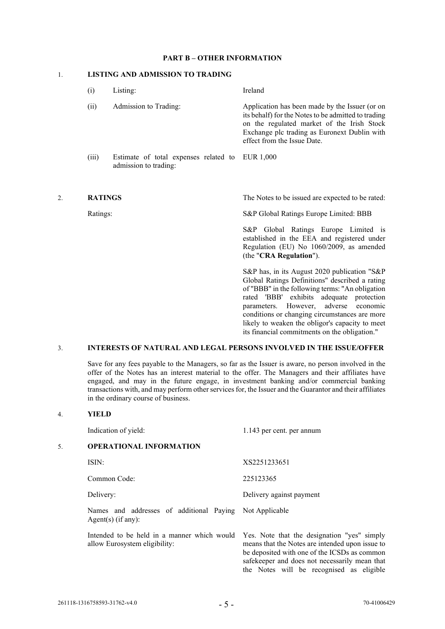## **PART B – OTHER INFORMATION**

# 1. **LISTING AND ADMISSION TO TRADING**

|    | $\left( 1\right)$ | Listing:                                                                 | Ireland                                                                                                                                                                                                                            |
|----|-------------------|--------------------------------------------------------------------------|------------------------------------------------------------------------------------------------------------------------------------------------------------------------------------------------------------------------------------|
|    | (ii)              | Admission to Trading:                                                    | Application has been made by the Issuer (or on<br>its behalf) for the Notes to be admitted to trading<br>on the regulated market of the Irish Stock<br>Exchange plc trading as Euronext Dublin with<br>effect from the Issue Date. |
|    | (iii)             | Estimate of total expenses related to EUR 1,000<br>admission to trading: |                                                                                                                                                                                                                                    |
| 2. | <b>RATINGS</b>    |                                                                          | The Notes to be issued are expected to be rated:                                                                                                                                                                                   |

Ratings: S&P Global Ratings Europe Limited: BBB

S&P Global Ratings Europe Limited is established in the EEA and registered under Regulation (EU) No 1060/2009, as amended (the "**CRA Regulation**").

S&P has, in its August 2020 publication "S&P Global Ratings Definitions" described a rating of "BBB" in the following terms: "An obligation rated 'BBB' exhibits adequate protection parameters. However, adverse economic conditions or changing circumstances are more likely to weaken the obligor's capacity to meet its financial commitments on the obligation."

the Notes will be recognised as eligible

## 3. **INTERESTS OF NATURAL AND LEGAL PERSONS INVOLVED IN THE ISSUE/OFFER**

Save for any fees payable to the Managers, so far as the Issuer is aware, no person involved in the offer of the Notes has an interest material to the offer. The Managers and their affiliates have engaged, and may in the future engage, in investment banking and/or commercial banking transactions with, and may perform other services for, the Issuer and the Guarantor and their affiliates in the ordinary course of business.

## 4. **YIELD**

|    | Indication of yield:                                                            | 1.143 per cent. per annum                                                                                                                                                                       |  |  |  |
|----|---------------------------------------------------------------------------------|-------------------------------------------------------------------------------------------------------------------------------------------------------------------------------------------------|--|--|--|
| 5. | <b>OPERATIONAL INFORMATION</b>                                                  |                                                                                                                                                                                                 |  |  |  |
|    | ISIN:                                                                           | XS2251233651                                                                                                                                                                                    |  |  |  |
|    | Common Code:                                                                    | 225123365                                                                                                                                                                                       |  |  |  |
|    | Delivery:                                                                       | Delivery against payment                                                                                                                                                                        |  |  |  |
|    | Names and addresses of additional Paying Not Applicable<br>Agent(s) $(if any):$ |                                                                                                                                                                                                 |  |  |  |
|    | Intended to be held in a manner which would<br>allow Eurosystem eligibility:    | Yes. Note that the designation "yes" simply<br>means that the Notes are intended upon issue to<br>be deposited with one of the ICSDs as common<br>safekeeper and does not necessarily mean that |  |  |  |